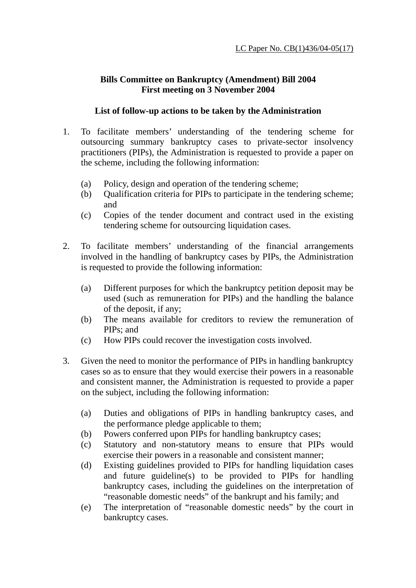## **Bills Committee on Bankruptcy (Amendment) Bill 2004 First meeting on 3 November 2004**

## **List of follow-up actions to be taken by the Administration**

- 1. To facilitate members' understanding of the tendering scheme for outsourcing summary bankruptcy cases to private-sector insolvency practitioners (PIPs), the Administration is requested to provide a paper on the scheme, including the following information:
	- (a) Policy, design and operation of the tendering scheme;
	- (b) Qualification criteria for PIPs to participate in the tendering scheme; and
	- (c) Copies of the tender document and contract used in the existing tendering scheme for outsourcing liquidation cases.
- 2. To facilitate members' understanding of the financial arrangements involved in the handling of bankruptcy cases by PIPs, the Administration is requested to provide the following information:
	- (a) Different purposes for which the bankruptcy petition deposit may be used (such as remuneration for PIPs) and the handling the balance of the deposit, if any;
	- (b) The means available for creditors to review the remuneration of PIPs; and
	- (c) How PIPs could recover the investigation costs involved.
- 3. Given the need to monitor the performance of PIPs in handling bankruptcy cases so as to ensure that they would exercise their powers in a reasonable and consistent manner, the Administration is requested to provide a paper on the subject, including the following information:
	- (a) Duties and obligations of PIPs in handling bankruptcy cases, and the performance pledge applicable to them;
	- (b) Powers conferred upon PIPs for handling bankruptcy cases;
	- (c) Statutory and non-statutory means to ensure that PIPs would exercise their powers in a reasonable and consistent manner;
	- (d) Existing guidelines provided to PIPs for handling liquidation cases and future guideline(s) to be provided to PIPs for handling bankruptcy cases, including the guidelines on the interpretation of "reasonable domestic needs" of the bankrupt and his family; and
	- (e) The interpretation of "reasonable domestic needs" by the court in bankruptcy cases.